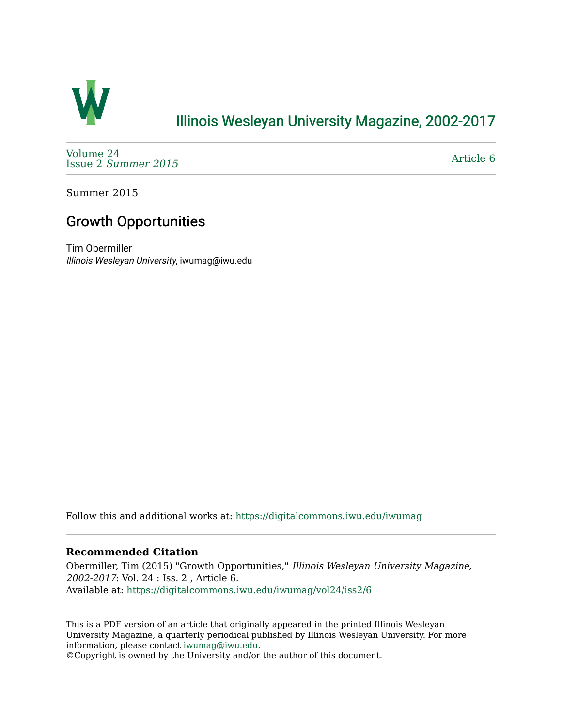

### [Illinois Wesleyan University Magazine, 2002-2017](https://digitalcommons.iwu.edu/iwumag)

[Volume 24](https://digitalcommons.iwu.edu/iwumag/vol24)  Issue 2 [Summer 2015](https://digitalcommons.iwu.edu/iwumag/vol24/iss2) 

[Article 6](https://digitalcommons.iwu.edu/iwumag/vol24/iss2/6) 

Summer 2015

## Growth Opportunities

Tim Obermiller Illinois Wesleyan University, iwumag@iwu.edu

Follow this and additional works at: [https://digitalcommons.iwu.edu/iwumag](https://digitalcommons.iwu.edu/iwumag?utm_source=digitalcommons.iwu.edu%2Fiwumag%2Fvol24%2Fiss2%2F6&utm_medium=PDF&utm_campaign=PDFCoverPages) 

#### **Recommended Citation**

Obermiller, Tim (2015) "Growth Opportunities," Illinois Wesleyan University Magazine, 2002-2017: Vol. 24 : Iss. 2 , Article 6. Available at: [https://digitalcommons.iwu.edu/iwumag/vol24/iss2/6](https://digitalcommons.iwu.edu/iwumag/vol24/iss2/6?utm_source=digitalcommons.iwu.edu%2Fiwumag%2Fvol24%2Fiss2%2F6&utm_medium=PDF&utm_campaign=PDFCoverPages)

This is a PDF version of an article that originally appeared in the printed Illinois Wesleyan University Magazine, a quarterly periodical published by Illinois Wesleyan University. For more information, please contact [iwumag@iwu.edu](mailto:iwumag@iwu.edu).

©Copyright is owned by the University and/or the author of this document.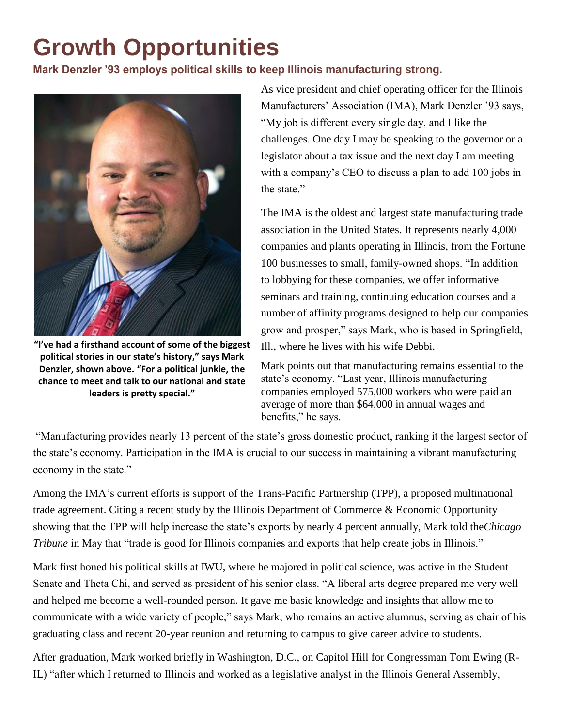# **Growth Opportunities**

#### **Mark Denzler '93 employs political skills to keep Illinois manufacturing strong.**



**"I've had a firsthand account of some of the biggest political stories in our state's history," says Mark Denzler, shown above. "For a political junkie, the chance to meet and talk to our national and state leaders is pretty special."**

As vice president and chief operating officer for the Illinois Manufacturers' Association (IMA), Mark Denzler '93 says, "My job is different every single day, and I like the challenges. One day I may be speaking to the governor or a legislator about a tax issue and the next day I am meeting with a company's CEO to discuss a plan to add 100 jobs in the state"

The IMA is the oldest and largest state manufacturing trade association in the United States. It represents nearly 4,000 companies and plants operating in Illinois, from the Fortune 100 businesses to small, family-owned shops. "In addition to lobbying for these companies, we offer informative seminars and training, continuing education courses and a number of affinity programs designed to help our companies grow and prosper," says Mark, who is based in Springfield, Ill., where he lives with his wife Debbi.

Mark points out that manufacturing remains essential to the state's economy. "Last year, Illinois manufacturing companies employed 575,000 workers who were paid an average of more than \$64,000 in annual wages and benefits," he says.

"Manufacturing provides nearly 13 percent of the state's gross domestic product, ranking it the largest sector of the state's economy. Participation in the IMA is crucial to our success in maintaining a vibrant manufacturing economy in the state."

Among the IMA's current efforts is support of the Trans-Pacific Partnership (TPP), a proposed multinational trade agreement. Citing a recent study by the Illinois Department of Commerce & Economic Opportunity showing that the TPP will help increase the state's exports by nearly 4 percent annually, Mark told the*Chicago Tribune* in May that "trade is good for Illinois companies and exports that help create jobs in Illinois."

Mark first honed his political skills at IWU, where he majored in political science, was active in the Student Senate and Theta Chi, and served as president of his senior class. "A liberal arts degree prepared me very well and helped me become a well-rounded person. It gave me basic knowledge and insights that allow me to communicate with a wide variety of people," says Mark, who remains an active alumnus, serving as chair of his graduating class and recent 20-year reunion and returning to campus to give career advice to students.

After graduation, Mark worked briefly in Washington, D.C., on Capitol Hill for Congressman Tom Ewing (R-IL) "after which I returned to Illinois and worked as a legislative analyst in the Illinois General Assembly,